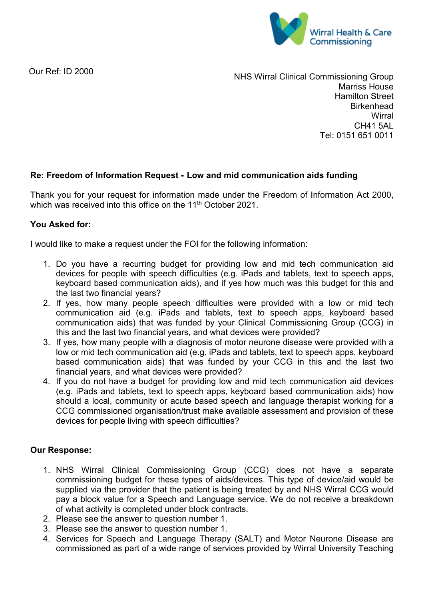

Our Ref: ID 2000

NHS Wirral Clinical Commissioning Group Marriss House Hamilton Street **Birkenhead Wirral** CH41 5AL Tel: 0151 651 0011

## **Re: Freedom of Information Request - Low and mid communication aids funding**

Thank you for your request for information made under the Freedom of Information Act 2000, which was received into this office on the 11<sup>th</sup> October 2021.

## **You Asked for:**

I would like to make a request under the FOI for the following information:

- 1. Do you have a recurring budget for providing low and mid tech communication aid devices for people with speech difficulties (e.g. iPads and tablets, text to speech apps, keyboard based communication aids), and if yes how much was this budget for this and the last two financial years?
- 2. If yes, how many people speech difficulties were provided with a low or mid tech communication aid (e.g. iPads and tablets, text to speech apps, keyboard based communication aids) that was funded by your Clinical Commissioning Group (CCG) in this and the last two financial years, and what devices were provided?
- 3. If yes, how many people with a diagnosis of motor neurone disease were provided with a low or mid tech communication aid (e.g. iPads and tablets, text to speech apps, keyboard based communication aids) that was funded by your CCG in this and the last two financial years, and what devices were provided?
- 4. If you do not have a budget for providing low and mid tech communication aid devices (e.g. iPads and tablets, text to speech apps, keyboard based communication aids) how should a local, community or acute based speech and language therapist working for a CCG commissioned organisation/trust make available assessment and provision of these devices for people living with speech difficulties?

## **Our Response:**

- 1. NHS Wirral Clinical Commissioning Group (CCG) does not have a separate commissioning budget for these types of aids/devices. This type of device/aid would be supplied via the provider that the patient is being treated by and NHS Wirral CCG would pay a block value for a Speech and Language service. We do not receive a breakdown of what activity is completed under block contracts.
- 2. Please see the answer to question number 1.
- 3. Please see the answer to question number 1.
- 4. Services for Speech and Language Therapy (SALT) and Motor Neurone Disease are commissioned as part of a wide range of services provided by Wirral University Teaching